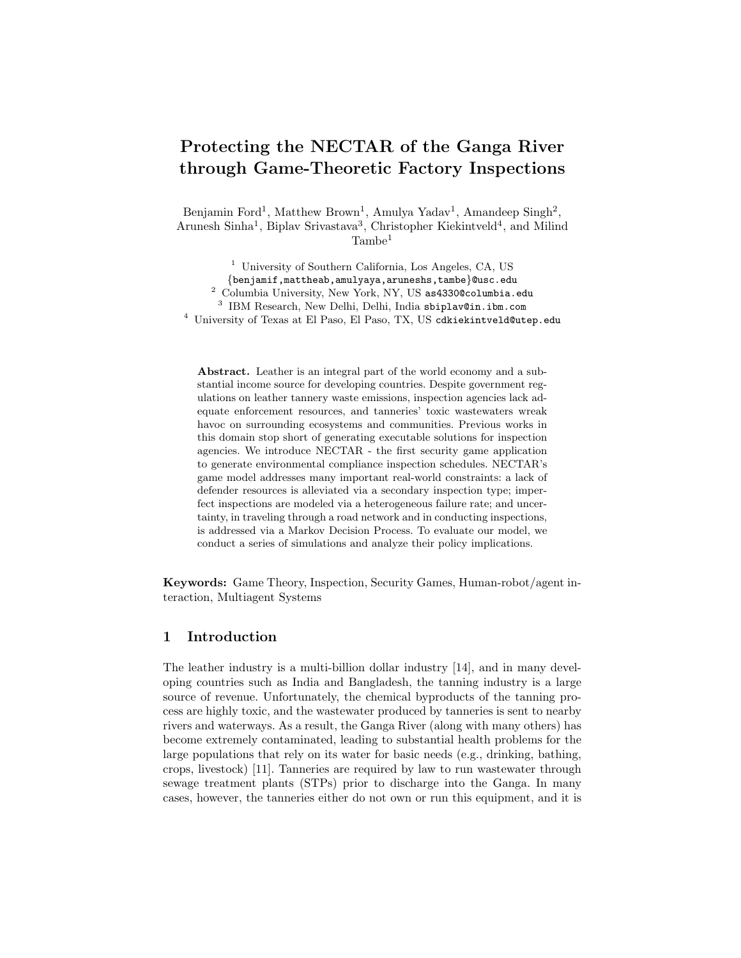# Protecting the NECTAR of the Ganga River through Game-Theoretic Factory Inspections

Benjamin Ford<sup>1</sup>, Matthew Brown<sup>1</sup>, Amulya Yadav<sup>1</sup>, Amandeep Singh<sup>2</sup>, Arunesh Sinha<sup>1</sup>, Biplav Srivastava<sup>3</sup>, Christopher Kiekintveld<sup>4</sup>, and Milind Tambe<sup>1</sup>

<sup>1</sup> University of Southern California, Los Angeles, CA, US {benjamif,mattheab,amulyaya,aruneshs,tambe}@usc.edu <sup>2</sup> Columbia University, New York, NY, US as4330@columbia.edu <sup>3</sup> IBM Research, New Delhi, Delhi, India sbiplav@in.ibm.com

<sup>4</sup> University of Texas at El Paso, El Paso, TX, US cdkiekintveld@utep.edu

Abstract. Leather is an integral part of the world economy and a substantial income source for developing countries. Despite government regulations on leather tannery waste emissions, inspection agencies lack adequate enforcement resources, and tanneries' toxic wastewaters wreak havoc on surrounding ecosystems and communities. Previous works in this domain stop short of generating executable solutions for inspection agencies. We introduce NECTAR - the first security game application to generate environmental compliance inspection schedules. NECTAR's game model addresses many important real-world constraints: a lack of defender resources is alleviated via a secondary inspection type; imperfect inspections are modeled via a heterogeneous failure rate; and uncertainty, in traveling through a road network and in conducting inspections, is addressed via a Markov Decision Process. To evaluate our model, we conduct a series of simulations and analyze their policy implications.

Keywords: Game Theory, Inspection, Security Games, Human-robot/agent interaction, Multiagent Systems

# 1 Introduction

The leather industry is a multi-billion dollar industry [14], and in many developing countries such as India and Bangladesh, the tanning industry is a large source of revenue. Unfortunately, the chemical byproducts of the tanning process are highly toxic, and the wastewater produced by tanneries is sent to nearby rivers and waterways. As a result, the Ganga River (along with many others) has become extremely contaminated, leading to substantial health problems for the large populations that rely on its water for basic needs (e.g., drinking, bathing, crops, livestock) [11]. Tanneries are required by law to run wastewater through sewage treatment plants (STPs) prior to discharge into the Ganga. In many cases, however, the tanneries either do not own or run this equipment, and it is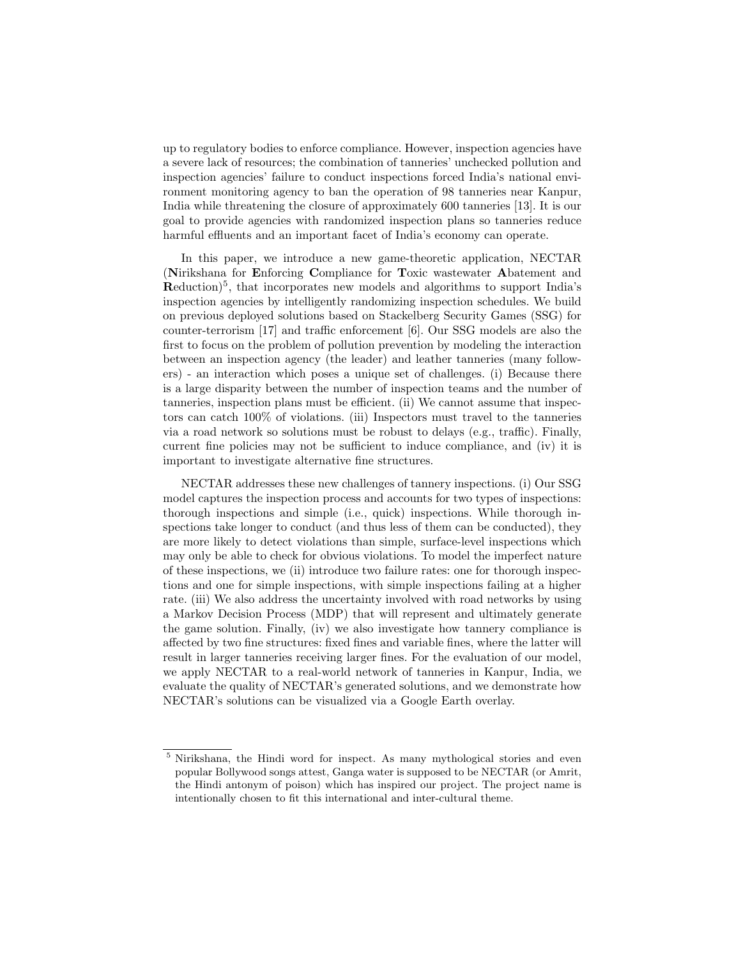up to regulatory bodies to enforce compliance. However, inspection agencies have a severe lack of resources; the combination of tanneries' unchecked pollution and inspection agencies' failure to conduct inspections forced India's national environment monitoring agency to ban the operation of 98 tanneries near Kanpur, India while threatening the closure of approximately 600 tanneries [13]. It is our goal to provide agencies with randomized inspection plans so tanneries reduce harmful effluents and an important facet of India's economy can operate.

In this paper, we introduce a new game-theoretic application, NECTAR (Nirikshana for Enforcing Compliance for Toxic wastewater Abatement and Reduction)<sup>5</sup>, that incorporates new models and algorithms to support India's inspection agencies by intelligently randomizing inspection schedules. We build on previous deployed solutions based on Stackelberg Security Games (SSG) for counter-terrorism [17] and traffic enforcement [6]. Our SSG models are also the first to focus on the problem of pollution prevention by modeling the interaction between an inspection agency (the leader) and leather tanneries (many followers) - an interaction which poses a unique set of challenges. (i) Because there is a large disparity between the number of inspection teams and the number of tanneries, inspection plans must be efficient. (ii) We cannot assume that inspectors can catch 100% of violations. (iii) Inspectors must travel to the tanneries via a road network so solutions must be robust to delays (e.g., traffic). Finally, current fine policies may not be sufficient to induce compliance, and (iv) it is important to investigate alternative fine structures.

NECTAR addresses these new challenges of tannery inspections. (i) Our SSG model captures the inspection process and accounts for two types of inspections: thorough inspections and simple (i.e., quick) inspections. While thorough inspections take longer to conduct (and thus less of them can be conducted), they are more likely to detect violations than simple, surface-level inspections which may only be able to check for obvious violations. To model the imperfect nature of these inspections, we (ii) introduce two failure rates: one for thorough inspections and one for simple inspections, with simple inspections failing at a higher rate. (iii) We also address the uncertainty involved with road networks by using a Markov Decision Process (MDP) that will represent and ultimately generate the game solution. Finally, (iv) we also investigate how tannery compliance is affected by two fine structures: fixed fines and variable fines, where the latter will result in larger tanneries receiving larger fines. For the evaluation of our model, we apply NECTAR to a real-world network of tanneries in Kanpur, India, we evaluate the quality of NECTAR's generated solutions, and we demonstrate how NECTAR's solutions can be visualized via a Google Earth overlay.

<sup>5</sup> Nirikshana, the Hindi word for inspect. As many mythological stories and even popular Bollywood songs attest, Ganga water is supposed to be NECTAR (or Amrit, the Hindi antonym of poison) which has inspired our project. The project name is intentionally chosen to fit this international and inter-cultural theme.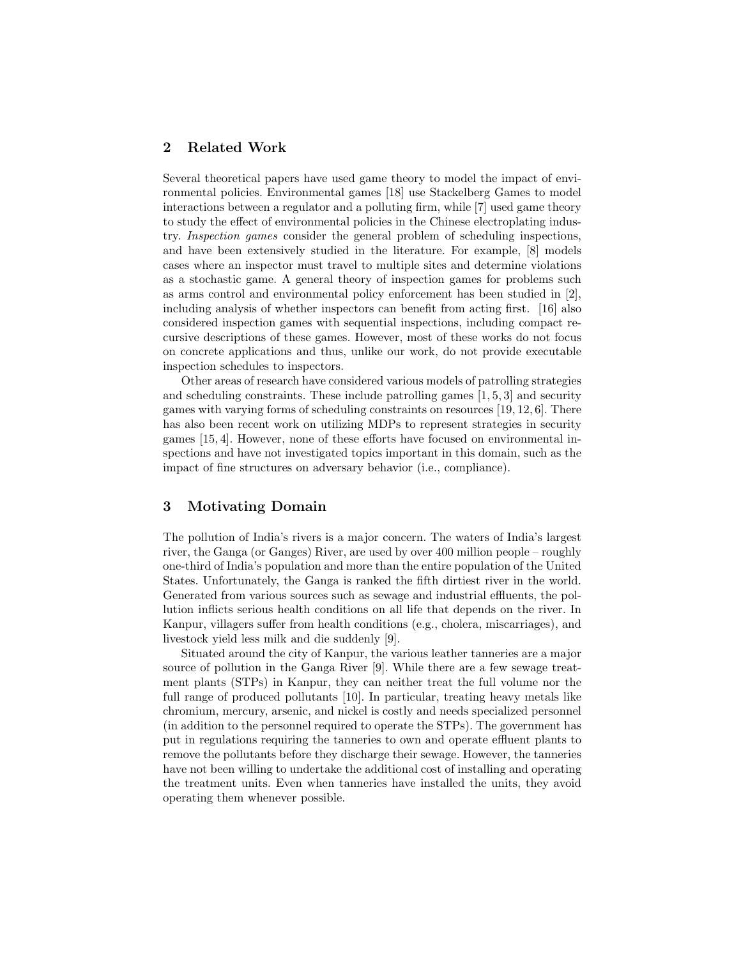# 2 Related Work

Several theoretical papers have used game theory to model the impact of environmental policies. Environmental games [18] use Stackelberg Games to model interactions between a regulator and a polluting firm, while [7] used game theory to study the effect of environmental policies in the Chinese electroplating industry. Inspection games consider the general problem of scheduling inspections, and have been extensively studied in the literature. For example, [8] models cases where an inspector must travel to multiple sites and determine violations as a stochastic game. A general theory of inspection games for problems such as arms control and environmental policy enforcement has been studied in [2], including analysis of whether inspectors can benefit from acting first. [16] also considered inspection games with sequential inspections, including compact recursive descriptions of these games. However, most of these works do not focus on concrete applications and thus, unlike our work, do not provide executable inspection schedules to inspectors.

Other areas of research have considered various models of patrolling strategies and scheduling constraints. These include patrolling games [1, 5, 3] and security games with varying forms of scheduling constraints on resources [19, 12, 6]. There has also been recent work on utilizing MDPs to represent strategies in security games [15, 4]. However, none of these efforts have focused on environmental inspections and have not investigated topics important in this domain, such as the impact of fine structures on adversary behavior (i.e., compliance).

## 3 Motivating Domain

The pollution of India's rivers is a major concern. The waters of India's largest river, the Ganga (or Ganges) River, are used by over 400 million people – roughly one-third of India's population and more than the entire population of the United States. Unfortunately, the Ganga is ranked the fifth dirtiest river in the world. Generated from various sources such as sewage and industrial effluents, the pollution inflicts serious health conditions on all life that depends on the river. In Kanpur, villagers suffer from health conditions (e.g., cholera, miscarriages), and livestock yield less milk and die suddenly [9].

Situated around the city of Kanpur, the various leather tanneries are a major source of pollution in the Ganga River [9]. While there are a few sewage treatment plants (STPs) in Kanpur, they can neither treat the full volume nor the full range of produced pollutants [10]. In particular, treating heavy metals like chromium, mercury, arsenic, and nickel is costly and needs specialized personnel (in addition to the personnel required to operate the STPs). The government has put in regulations requiring the tanneries to own and operate effluent plants to remove the pollutants before they discharge their sewage. However, the tanneries have not been willing to undertake the additional cost of installing and operating the treatment units. Even when tanneries have installed the units, they avoid operating them whenever possible.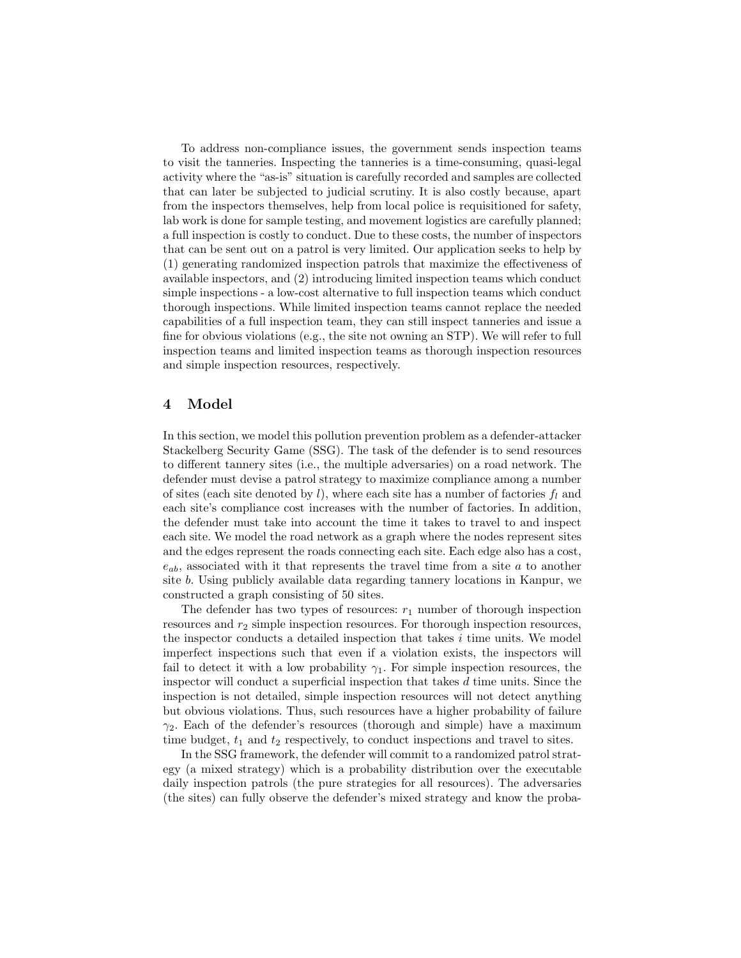To address non-compliance issues, the government sends inspection teams to visit the tanneries. Inspecting the tanneries is a time-consuming, quasi-legal activity where the "as-is" situation is carefully recorded and samples are collected that can later be subjected to judicial scrutiny. It is also costly because, apart from the inspectors themselves, help from local police is requisitioned for safety, lab work is done for sample testing, and movement logistics are carefully planned; a full inspection is costly to conduct. Due to these costs, the number of inspectors that can be sent out on a patrol is very limited. Our application seeks to help by (1) generating randomized inspection patrols that maximize the effectiveness of available inspectors, and (2) introducing limited inspection teams which conduct simple inspections - a low-cost alternative to full inspection teams which conduct thorough inspections. While limited inspection teams cannot replace the needed capabilities of a full inspection team, they can still inspect tanneries and issue a fine for obvious violations (e.g., the site not owning an STP). We will refer to full inspection teams and limited inspection teams as thorough inspection resources and simple inspection resources, respectively.

### 4 Model

In this section, we model this pollution prevention problem as a defender-attacker Stackelberg Security Game (SSG). The task of the defender is to send resources to different tannery sites (i.e., the multiple adversaries) on a road network. The defender must devise a patrol strategy to maximize compliance among a number of sites (each site denoted by l), where each site has a number of factories  $f_l$  and each site's compliance cost increases with the number of factories. In addition, the defender must take into account the time it takes to travel to and inspect each site. We model the road network as a graph where the nodes represent sites and the edges represent the roads connecting each site. Each edge also has a cost,  $e_{ab}$ , associated with it that represents the travel time from a site  $a$  to another site b. Using publicly available data regarding tannery locations in Kanpur, we constructed a graph consisting of 50 sites.

The defender has two types of resources:  $r_1$  number of thorough inspection resources and  $r_2$  simple inspection resources. For thorough inspection resources, the inspector conducts a detailed inspection that takes  $i$  time units. We model imperfect inspections such that even if a violation exists, the inspectors will fail to detect it with a low probability  $\gamma_1$ . For simple inspection resources, the inspector will conduct a superficial inspection that takes d time units. Since the inspection is not detailed, simple inspection resources will not detect anything but obvious violations. Thus, such resources have a higher probability of failure  $\gamma_2$ . Each of the defender's resources (thorough and simple) have a maximum time budget,  $t_1$  and  $t_2$  respectively, to conduct inspections and travel to sites.

In the SSG framework, the defender will commit to a randomized patrol strategy (a mixed strategy) which is a probability distribution over the executable daily inspection patrols (the pure strategies for all resources). The adversaries (the sites) can fully observe the defender's mixed strategy and know the proba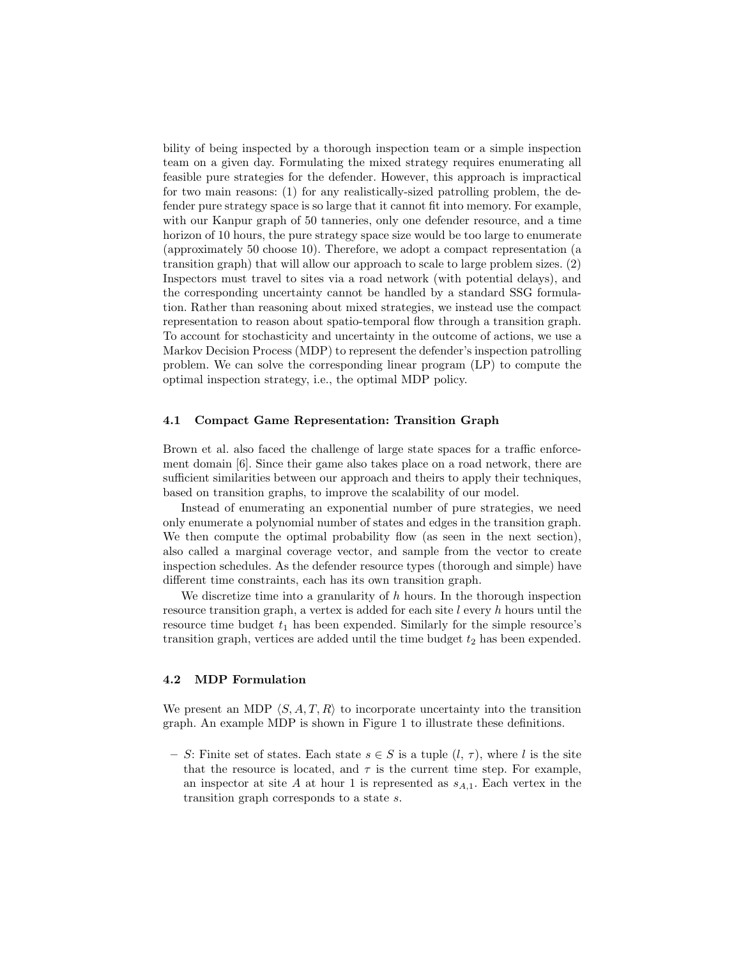bility of being inspected by a thorough inspection team or a simple inspection team on a given day. Formulating the mixed strategy requires enumerating all feasible pure strategies for the defender. However, this approach is impractical for two main reasons: (1) for any realistically-sized patrolling problem, the defender pure strategy space is so large that it cannot fit into memory. For example, with our Kanpur graph of 50 tanneries, only one defender resource, and a time horizon of 10 hours, the pure strategy space size would be too large to enumerate (approximately 50 choose 10). Therefore, we adopt a compact representation (a transition graph) that will allow our approach to scale to large problem sizes. (2) Inspectors must travel to sites via a road network (with potential delays), and the corresponding uncertainty cannot be handled by a standard SSG formulation. Rather than reasoning about mixed strategies, we instead use the compact representation to reason about spatio-temporal flow through a transition graph. To account for stochasticity and uncertainty in the outcome of actions, we use a Markov Decision Process (MDP) to represent the defender's inspection patrolling problem. We can solve the corresponding linear program (LP) to compute the optimal inspection strategy, i.e., the optimal MDP policy.

#### 4.1 Compact Game Representation: Transition Graph

Brown et al. also faced the challenge of large state spaces for a traffic enforcement domain [6]. Since their game also takes place on a road network, there are sufficient similarities between our approach and theirs to apply their techniques, based on transition graphs, to improve the scalability of our model.

Instead of enumerating an exponential number of pure strategies, we need only enumerate a polynomial number of states and edges in the transition graph. We then compute the optimal probability flow (as seen in the next section), also called a marginal coverage vector, and sample from the vector to create inspection schedules. As the defender resource types (thorough and simple) have different time constraints, each has its own transition graph.

We discretize time into a granularity of  $h$  hours. In the thorough inspection resource transition graph, a vertex is added for each site  $l$  every  $h$  hours until the resource time budget  $t_1$  has been expended. Similarly for the simple resource's transition graph, vertices are added until the time budget  $t_2$  has been expended.

#### 4.2 MDP Formulation

We present an MDP  $\langle S, A, T, R \rangle$  to incorporate uncertainty into the transition graph. An example MDP is shown in Figure 1 to illustrate these definitions.

– S: Finite set of states. Each state  $s \in S$  is a tuple  $(l, \tau)$ , where l is the site that the resource is located, and  $\tau$  is the current time step. For example, an inspector at site A at hour 1 is represented as  $s_{A,1}$ . Each vertex in the transition graph corresponds to a state s.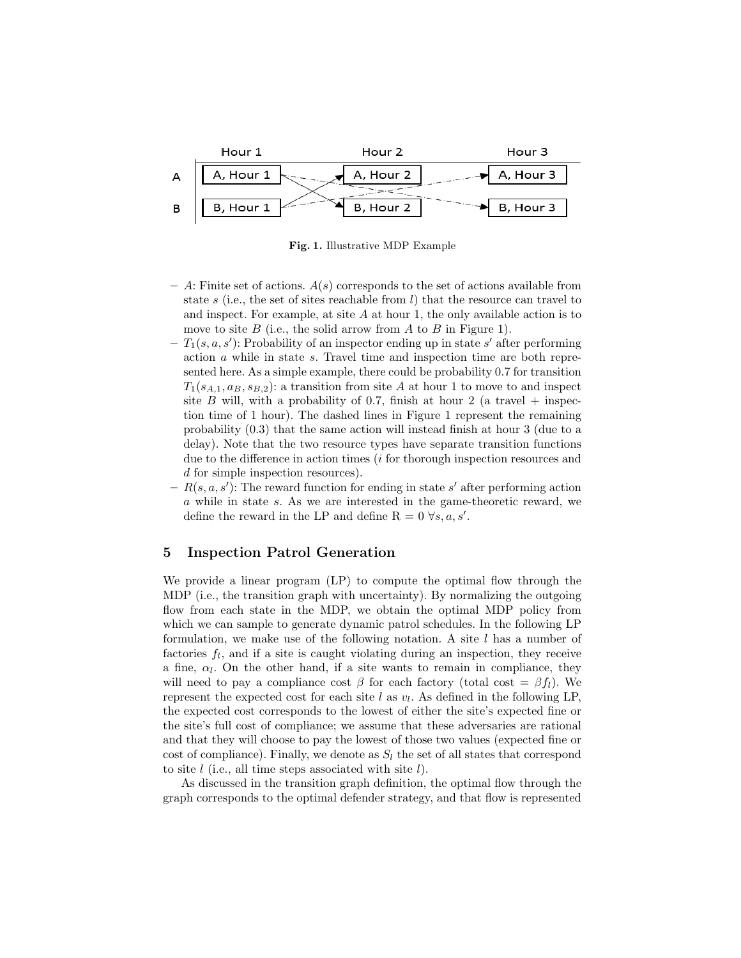

Fig. 1. Illustrative MDP Example

- $A$ : Finite set of actions.  $A(s)$  corresponds to the set of actions available from state s (i.e., the set of sites reachable from  $l$ ) that the resource can travel to and inspect. For example, at site  $A$  at hour 1, the only available action is to move to site  $B$  (i.e., the solid arrow from  $A$  to  $B$  in Figure 1).
- $-T_1(s, a, s')$ : Probability of an inspector ending up in state s' after performing action a while in state s. Travel time and inspection time are both represented here. As a simple example, there could be probability 0.7 for transition  $T_1(s_{A,1}, a_B, s_{B,2})$ : a transition from site A at hour 1 to move to and inspect site B will, with a probability of 0.7, finish at hour 2 (a travel + inspection time of 1 hour). The dashed lines in Figure 1 represent the remaining probability (0.3) that the same action will instead finish at hour 3 (due to a delay). Note that the two resource types have separate transition functions due to the difference in action times  $(i$  for thorough inspection resources and d for simple inspection resources).
- $-R(s, a, s')$ : The reward function for ending in state s' after performing action a while in state s. As we are interested in the game-theoretic reward, we define the reward in the LP and define  $R = 0 \forall s, a, s'$ .

# 5 Inspection Patrol Generation

We provide a linear program (LP) to compute the optimal flow through the MDP (i.e., the transition graph with uncertainty). By normalizing the outgoing flow from each state in the MDP, we obtain the optimal MDP policy from which we can sample to generate dynamic patrol schedules. In the following LP formulation, we make use of the following notation. A site  $l$  has a number of factories  $f_l$ , and if a site is caught violating during an inspection, they receive a fine,  $\alpha_l$ . On the other hand, if a site wants to remain in compliance, they will need to pay a compliance cost  $\beta$  for each factory (total cost =  $\beta f_l$ ). We represent the expected cost for each site  $l$  as  $v_l$ . As defined in the following LP, the expected cost corresponds to the lowest of either the site's expected fine or the site's full cost of compliance; we assume that these adversaries are rational and that they will choose to pay the lowest of those two values (expected fine or cost of compliance). Finally, we denote as  $S_l$  the set of all states that correspond to site  $l$  (i.e., all time steps associated with site  $l$ ).

As discussed in the transition graph definition, the optimal flow through the graph corresponds to the optimal defender strategy, and that flow is represented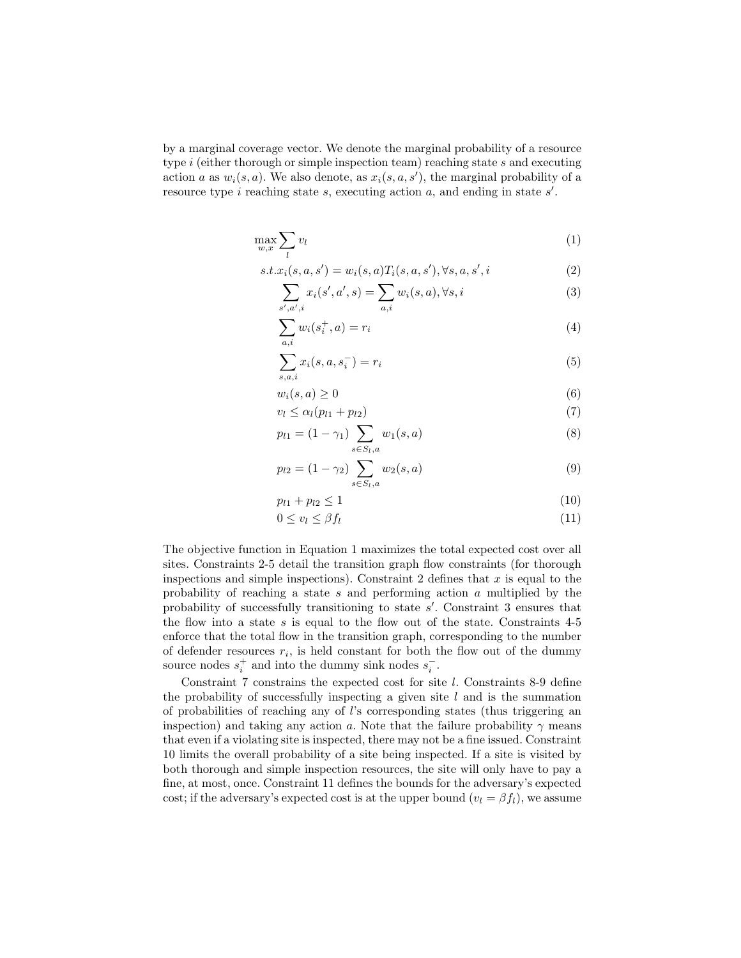by a marginal coverage vector. We denote the marginal probability of a resource type  $i$  (either thorough or simple inspection team) reaching state  $s$  and executing action a as  $w_i(s, a)$ . We also denote, as  $x_i(s, a, s')$ , the marginal probability of a resource type i reaching state s, executing action  $a$ , and ending in state  $s'$ .

$$
\max_{w,x} \sum_{l} v_l \tag{1}
$$

$$
s.t. x_i(s, a, s') = w_i(s, a) T_i(s, a, s'), \forall s, a, s', i
$$
 (2)

$$
\sum_{s',a',i} x_i(s',a',s) = \sum_{a,i} w_i(s,a), \forall s,i
$$
 (3)

$$
\sum_{a,i} w_i(s_i^+,a) = r_i \tag{4}
$$

$$
\sum_{s,a,i} x_i(s,a,s_i^-) = r_i \tag{5}
$$

$$
w_i(s, a) \ge 0 \tag{6}
$$

$$
v_l \le \alpha_l (p_{l1} + p_{l2}) \tag{7}
$$

$$
p_{l1} = (1 - \gamma_1) \sum_{s \in S_l, a} w_1(s, a) \tag{8}
$$

$$
p_{l2} = (1 - \gamma_2) \sum_{s \in S_l, a} w_2(s, a)
$$
\n(9)

$$
p_{l1} + p_{l2} \le 1 \tag{10}
$$

$$
0 \le v_l \le \beta f_l \tag{11}
$$

The objective function in Equation 1 maximizes the total expected cost over all sites. Constraints 2-5 detail the transition graph flow constraints (for thorough inspections and simple inspections). Constraint 2 defines that  $x$  is equal to the probability of reaching a state s and performing action a multiplied by the probability of successfully transitioning to state  $s'$ . Constraint 3 ensures that the flow into a state s is equal to the flow out of the state. Constraints  $4-5$ enforce that the total flow in the transition graph, corresponding to the number of defender resources  $r_i$ , is held constant for both the flow out of the dummy source nodes  $s_i^+$  and into the dummy sink nodes  $s_i^-$ .

Constraint 7 constrains the expected cost for site l. Constraints 8-9 define the probability of successfully inspecting a given site  $l$  and is the summation of probabilities of reaching any of l's corresponding states (thus triggering an inspection) and taking any action a. Note that the failure probability  $\gamma$  means that even if a violating site is inspected, there may not be a fine issued. Constraint 10 limits the overall probability of a site being inspected. If a site is visited by both thorough and simple inspection resources, the site will only have to pay a fine, at most, once. Constraint 11 defines the bounds for the adversary's expected cost; if the adversary's expected cost is at the upper bound  $(v_l = \beta f_l)$ , we assume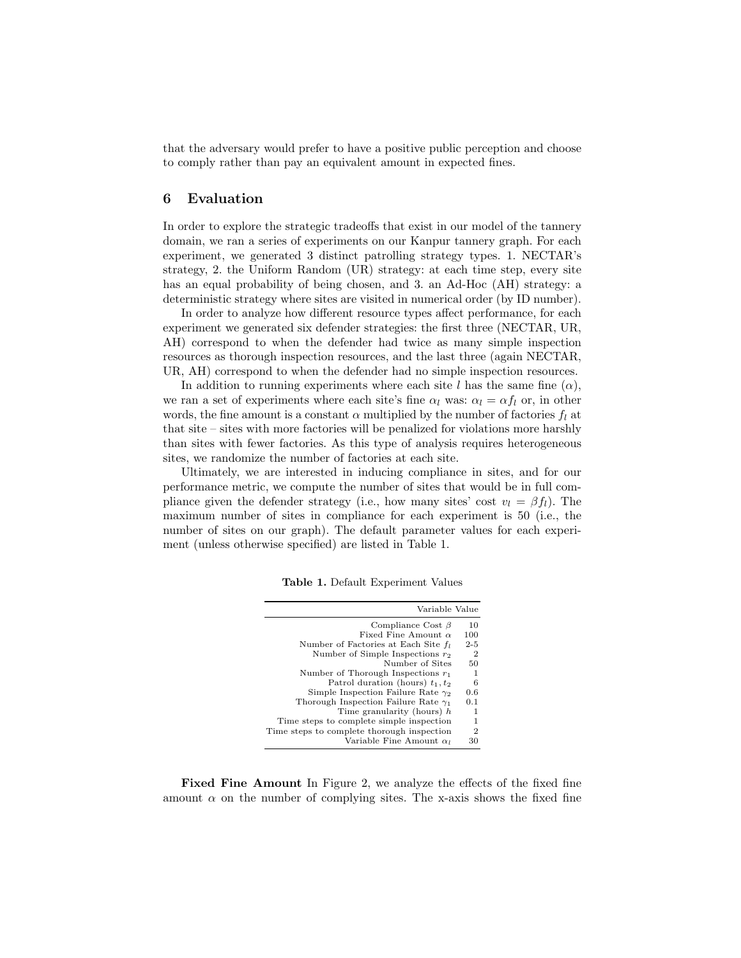that the adversary would prefer to have a positive public perception and choose to comply rather than pay an equivalent amount in expected fines.

# 6 Evaluation

In order to explore the strategic tradeoffs that exist in our model of the tannery domain, we ran a series of experiments on our Kanpur tannery graph. For each experiment, we generated 3 distinct patrolling strategy types. 1. NECTAR's strategy, 2. the Uniform Random (UR) strategy: at each time step, every site has an equal probability of being chosen, and 3. an Ad-Hoc (AH) strategy: a deterministic strategy where sites are visited in numerical order (by ID number).

In order to analyze how different resource types affect performance, for each experiment we generated six defender strategies: the first three (NECTAR, UR, AH) correspond to when the defender had twice as many simple inspection resources as thorough inspection resources, and the last three (again NECTAR, UR, AH) correspond to when the defender had no simple inspection resources.

In addition to running experiments where each site l has the same fine  $(\alpha)$ , we ran a set of experiments where each site's fine  $\alpha_l$  was:  $\alpha_l = \alpha f_l$  or, in other words, the fine amount is a constant  $\alpha$  multiplied by the number of factories  $f_l$  at that site – sites with more factories will be penalized for violations more harshly than sites with fewer factories. As this type of analysis requires heterogeneous sites, we randomize the number of factories at each site.

Ultimately, we are interested in inducing compliance in sites, and for our performance metric, we compute the number of sites that would be in full compliance given the defender strategy (i.e., how many sites' cost  $v_l = \beta f_l$ ). The maximum number of sites in compliance for each experiment is 50 (i.e., the number of sites on our graph). The default parameter values for each experiment (unless otherwise specified) are listed in Table 1.

Table 1. Default Experiment Values

| Variable Value                              |                |
|---------------------------------------------|----------------|
| Compliance Cost $\beta$                     | 10             |
| Fixed Fine Amount $\alpha$                  | 100            |
| Number of Factories at Each Site $f_l$      | $2 - 5$        |
| Number of Simple Inspections $r_2$          | $\overline{2}$ |
| Number of Sites                             | 50             |
| Number of Thorough Inspections $r_1$        | 1              |
| Patrol duration (hours) $t_1, t_2$          | 6              |
| Simple Inspection Failure Rate $\gamma_2$   | 0.6            |
| Thorough Inspection Failure Rate $\gamma_1$ | 0.1            |
| Time granularity (hours) $h$                | 1              |
| Time steps to complete simple inspection    | 1              |
| Time steps to complete thorough inspection  | $\overline{2}$ |
| Variable Fine Amount $\alpha_l$             | 30             |

Fixed Fine Amount In Figure 2, we analyze the effects of the fixed fine amount  $\alpha$  on the number of complying sites. The x-axis shows the fixed fine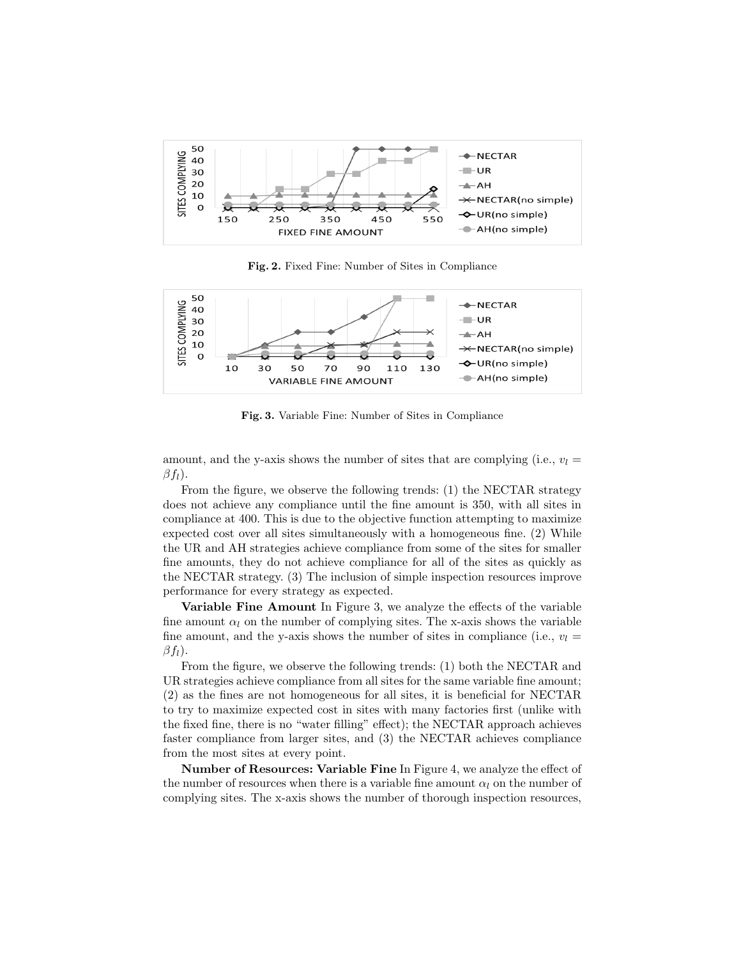

Fig. 2. Fixed Fine: Number of Sites in Compliance



Fig. 3. Variable Fine: Number of Sites in Compliance

amount, and the y-axis shows the number of sites that are complying (i.e.,  $v_l =$  $\beta f_l$ ).

From the figure, we observe the following trends: (1) the NECTAR strategy does not achieve any compliance until the fine amount is 350, with all sites in compliance at 400. This is due to the objective function attempting to maximize expected cost over all sites simultaneously with a homogeneous fine. (2) While the UR and AH strategies achieve compliance from some of the sites for smaller fine amounts, they do not achieve compliance for all of the sites as quickly as the NECTAR strategy. (3) The inclusion of simple inspection resources improve performance for every strategy as expected.

Variable Fine Amount In Figure 3, we analyze the effects of the variable fine amount  $\alpha_l$  on the number of complying sites. The x-axis shows the variable fine amount, and the y-axis shows the number of sites in compliance (i.e.,  $v_l =$  $\beta f_l$ ).

From the figure, we observe the following trends: (1) both the NECTAR and UR strategies achieve compliance from all sites for the same variable fine amount; (2) as the fines are not homogeneous for all sites, it is beneficial for NECTAR to try to maximize expected cost in sites with many factories first (unlike with the fixed fine, there is no "water filling" effect); the NECTAR approach achieves faster compliance from larger sites, and (3) the NECTAR achieves compliance from the most sites at every point.

Number of Resources: Variable Fine In Figure 4, we analyze the effect of the number of resources when there is a variable fine amount  $\alpha_l$  on the number of complying sites. The x-axis shows the number of thorough inspection resources,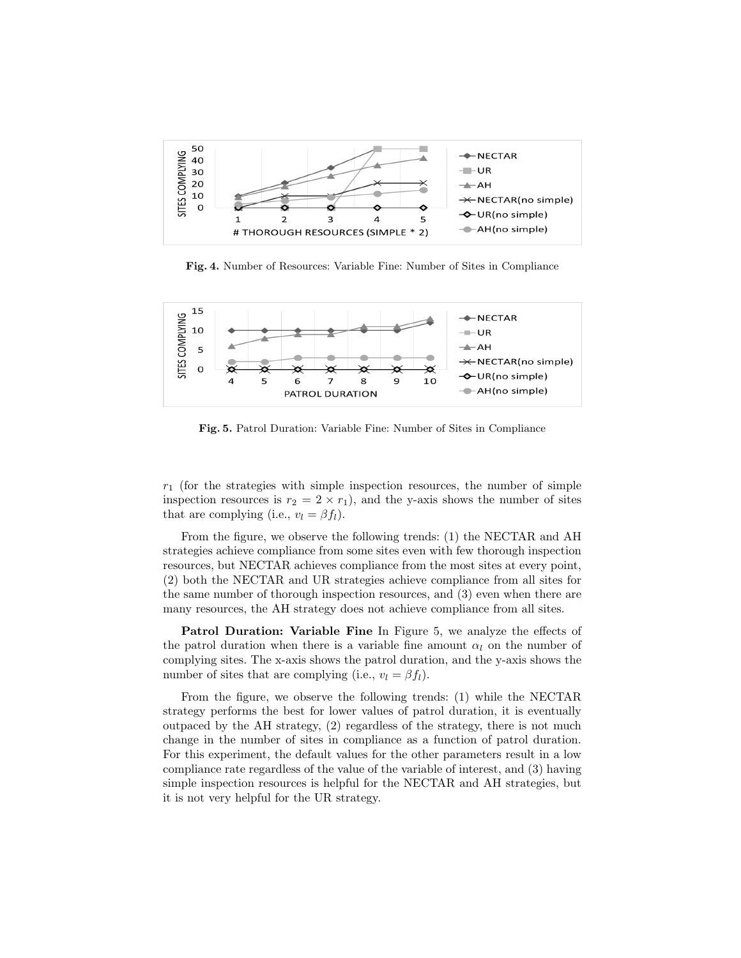

Fig. 4. Number of Resources: Variable Fine: Number of Sites in Compliance



Fig. 5. Patrol Duration: Variable Fine: Number of Sites in Compliance

 $r_1$  (for the strategies with simple inspection resources, the number of simple inspection resources is  $r_2 = 2 \times r_1$ , and the y-axis shows the number of sites that are complying (i.e.,  $v_l = \beta f_l$ ).

From the figure, we observe the following trends: (1) the NECTAR and AH strategies achieve compliance from some sites even with few thorough inspection resources, but NECTAR achieves compliance from the most sites at every point, (2) both the NECTAR and UR strategies achieve compliance from all sites for the same number of thorough inspection resources, and (3) even when there are many resources, the AH strategy does not achieve compliance from all sites.

Patrol Duration: Variable Fine In Figure 5, we analyze the effects of the patrol duration when there is a variable fine amount  $\alpha_l$  on the number of complying sites. The x-axis shows the patrol duration, and the y-axis shows the number of sites that are complying (i.e.,  $v_l = \beta f_l$ ).

From the figure, we observe the following trends: (1) while the NECTAR strategy performs the best for lower values of patrol duration, it is eventually outpaced by the AH strategy, (2) regardless of the strategy, there is not much change in the number of sites in compliance as a function of patrol duration. For this experiment, the default values for the other parameters result in a low compliance rate regardless of the value of the variable of interest, and (3) having simple inspection resources is helpful for the NECTAR and AH strategies, but it is not very helpful for the UR strategy.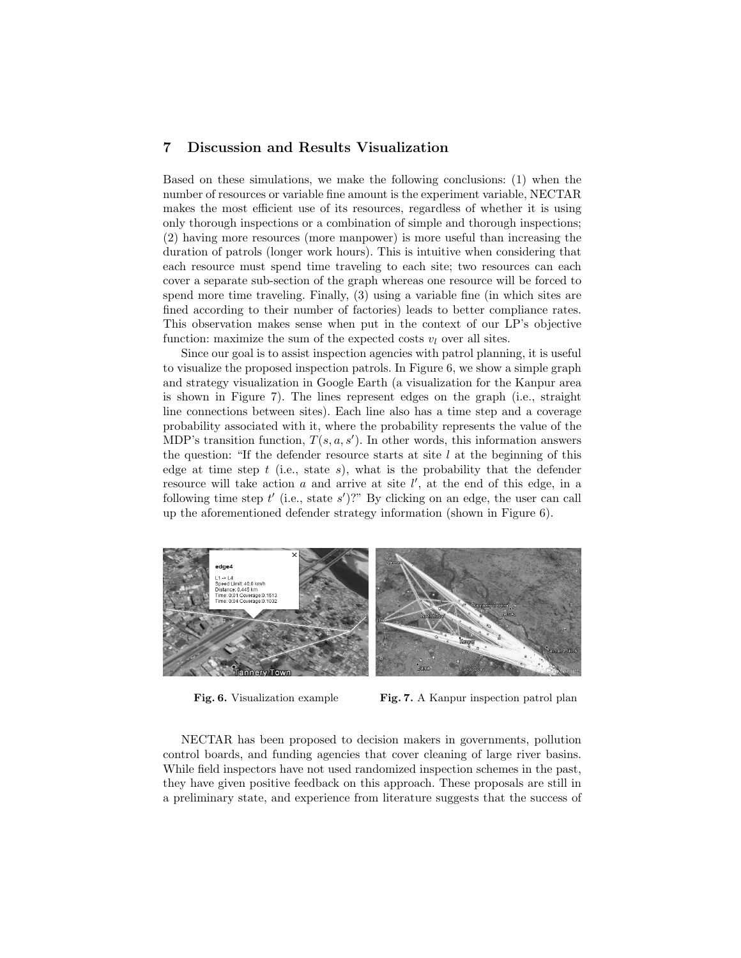# 7 Discussion and Results Visualization

Based on these simulations, we make the following conclusions: (1) when the number of resources or variable fine amount is the experiment variable, NECTAR makes the most efficient use of its resources, regardless of whether it is using only thorough inspections or a combination of simple and thorough inspections; (2) having more resources (more manpower) is more useful than increasing the duration of patrols (longer work hours). This is intuitive when considering that each resource must spend time traveling to each site; two resources can each cover a separate sub-section of the graph whereas one resource will be forced to spend more time traveling. Finally, (3) using a variable fine (in which sites are fined according to their number of factories) leads to better compliance rates. This observation makes sense when put in the context of our LP's objective function: maximize the sum of the expected costs  $v_l$  over all sites.

Since our goal is to assist inspection agencies with patrol planning, it is useful to visualize the proposed inspection patrols. In Figure 6, we show a simple graph and strategy visualization in Google Earth (a visualization for the Kanpur area is shown in Figure 7). The lines represent edges on the graph (i.e., straight line connections between sites). Each line also has a time step and a coverage probability associated with it, where the probability represents the value of the MDP's transition function,  $T(s, a, s')$ . In other words, this information answers the question: "If the defender resource starts at site  $l$  at the beginning of this edge at time step  $t$  (i.e., state  $s$ ), what is the probability that the defender resource will take action  $a$  and arrive at site  $l'$ , at the end of this edge, in a following time step  $t'$  (i.e., state  $s'$ )?" By clicking on an edge, the user can call up the aforementioned defender strategy information (shown in Figure 6).



Fig. 6. Visualization example Fig. 7. A Kanpur inspection patrol plan

NECTAR has been proposed to decision makers in governments, pollution control boards, and funding agencies that cover cleaning of large river basins. While field inspectors have not used randomized inspection schemes in the past, they have given positive feedback on this approach. These proposals are still in a preliminary state, and experience from literature suggests that the success of